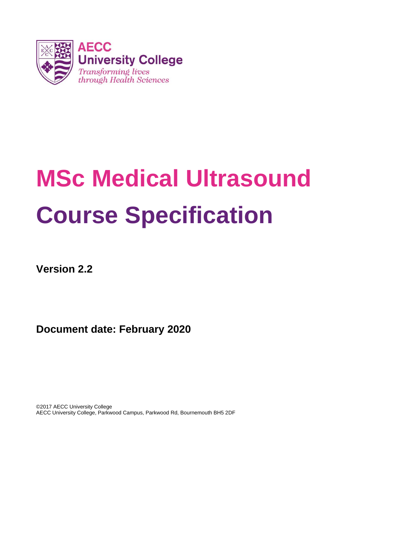

# **MSc Medical Ultrasound Course Specification**

**Version 2.2**

**Document date: February 2020**

©2017 AECC University College AECC University College, Parkwood Campus, Parkwood Rd, Bournemouth BH5 2DF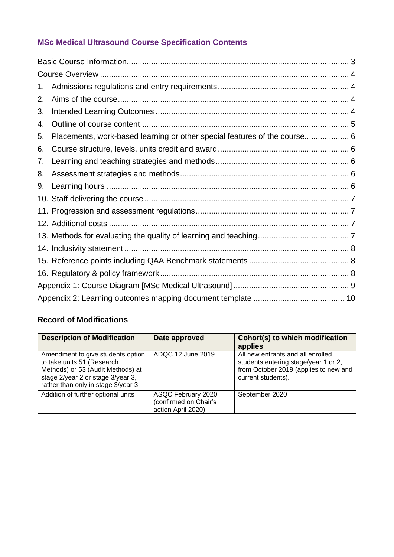# **MSc Medical Ultrasound Course Specification Contents**

| 1. |                                                                           |  |
|----|---------------------------------------------------------------------------|--|
| 2. |                                                                           |  |
| 3. |                                                                           |  |
| 4. |                                                                           |  |
| 5. | Placements, work-based learning or other special features of the course 6 |  |
| 6. |                                                                           |  |
| 7. |                                                                           |  |
| 8. |                                                                           |  |
| 9. |                                                                           |  |
|    |                                                                           |  |
|    |                                                                           |  |
|    |                                                                           |  |
|    |                                                                           |  |
|    |                                                                           |  |
|    |                                                                           |  |
|    |                                                                           |  |
|    |                                                                           |  |
|    |                                                                           |  |

## **Record of Modifications**

| <b>Description of Modification</b>                                                                                                                                              | Date approved                                                     | Cohort(s) to which modification<br>applies                                                                                               |
|---------------------------------------------------------------------------------------------------------------------------------------------------------------------------------|-------------------------------------------------------------------|------------------------------------------------------------------------------------------------------------------------------------------|
| Amendment to give students option<br>to take units 51 (Research<br>Methods) or 53 (Audit Methods) at<br>stage 2/year 2 or stage 3/year 3,<br>rather than only in stage 3/year 3 | ADQC 12 June 2019                                                 | All new entrants and all enrolled<br>students entering stage/year 1 or 2,<br>from October 2019 (applies to new and<br>current students). |
| Addition of further optional units                                                                                                                                              | ASQC February 2020<br>(confirmed on Chair's<br>action April 2020) | September 2020                                                                                                                           |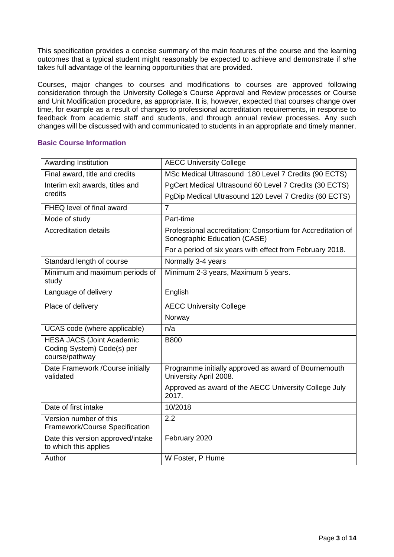This specification provides a concise summary of the main features of the course and the learning outcomes that a typical student might reasonably be expected to achieve and demonstrate if s/he takes full advantage of the learning opportunities that are provided.

Courses, major changes to courses and modifications to courses are approved following consideration through the University College's Course Approval and Review processes or Course and Unit Modification procedure, as appropriate. It is, however, expected that courses change over time, for example as a result of changes to professional accreditation requirements, in response to feedback from academic staff and students, and through annual review processes. Any such changes will be discussed with and communicated to students in an appropriate and timely manner.

#### <span id="page-2-0"></span>**Basic Course Information**

| Awarding Institution                                                             | <b>AECC University College</b>                                                              |
|----------------------------------------------------------------------------------|---------------------------------------------------------------------------------------------|
| Final award, title and credits                                                   | MSc Medical Ultrasound 180 Level 7 Credits (90 ECTS)                                        |
| Interim exit awards, titles and                                                  | PgCert Medical Ultrasound 60 Level 7 Credits (30 ECTS)                                      |
| credits                                                                          | PgDip Medical Ultrasound 120 Level 7 Credits (60 ECTS)                                      |
| FHEQ level of final award                                                        | $\overline{7}$                                                                              |
| Mode of study                                                                    | Part-time                                                                                   |
| <b>Accreditation details</b>                                                     | Professional accreditation: Consortium for Accreditation of<br>Sonographic Education (CASE) |
|                                                                                  | For a period of six years with effect from February 2018.                                   |
| Standard length of course                                                        | Normally 3-4 years                                                                          |
| Minimum and maximum periods of<br>study                                          | Minimum 2-3 years, Maximum 5 years.                                                         |
| Language of delivery                                                             | English                                                                                     |
| Place of delivery                                                                | <b>AECC University College</b>                                                              |
|                                                                                  | Norway                                                                                      |
| UCAS code (where applicable)                                                     | n/a                                                                                         |
| <b>HESA JACS (Joint Academic</b><br>Coding System) Code(s) per<br>course/pathway | <b>B800</b>                                                                                 |
| Date Framework /Course initially<br>validated                                    | Programme initially approved as award of Bournemouth<br>University April 2008.              |
|                                                                                  | Approved as award of the AECC University College July<br>2017.                              |
| Date of first intake                                                             | 10/2018                                                                                     |
| Version number of this<br>Framework/Course Specification                         | 2.2                                                                                         |
| Date this version approved/intake<br>to which this applies                       | February 2020                                                                               |
|                                                                                  |                                                                                             |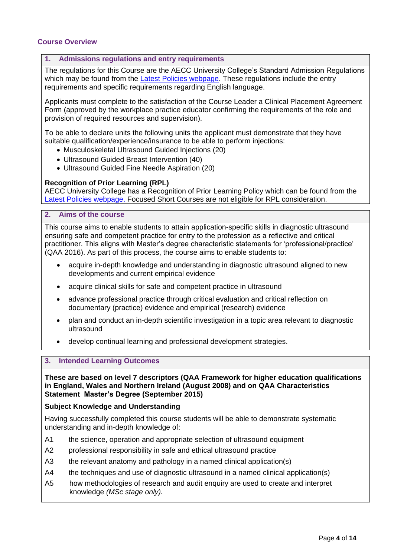#### <span id="page-3-0"></span>**Course Overview**

#### <span id="page-3-1"></span>**1. Admissions regulations and entry requirements**

The regulations for this Course are the AECC University College's Standard Admission Regulations which may be found from the **Latest Policies webpage**. These regulations include the entry requirements and specific requirements regarding English language.

Applicants must complete to the satisfaction of the Course Leader a Clinical Placement Agreement Form (approved by the workplace practice educator confirming the requirements of the role and provision of required resources and supervision).

To be able to declare units the following units the applicant must demonstrate that they have suitable qualification/experience/insurance to be able to perform injections:

- Musculoskeletal Ultrasound Guided Injections (20)
- Ultrasound Guided Breast Intervention (40)
- Ultrasound Guided Fine Needle Aspiration (20)

#### **Recognition of Prior Learning (RPL)**

AECC University College has a [Recognition of Prior Learning Policy](http://www.southampton.ac.uk/quality/assessment/prior_learning.page?) which can be found from the [Latest Policies webpage.](https://www.aecc.ac.uk/about/how-we-work/latest-policies/) Focused Short Courses are not eligible for RPL consideration.

#### <span id="page-3-2"></span>**2. Aims of the course**

This course aims to enable students to attain application-specific skills in diagnostic ultrasound ensuring safe and competent practice for entry to the profession as a reflective and critical practitioner. This aligns with Master's degree characteristic statements for 'professional/practice' (QAA 2016). As part of this process, the course aims to enable students to:

- acquire in-depth knowledge and understanding in diagnostic ultrasound aligned to new developments and current empirical evidence
- acquire clinical skills for safe and competent practice in ultrasound
- advance professional practice through critical evaluation and critical reflection on documentary (practice) evidence and empirical (research) evidence
- plan and conduct an in-depth scientific investigation in a topic area relevant to diagnostic ultrasound
- develop continual learning and professional development strategies.

#### <span id="page-3-3"></span>**3. Intended Learning Outcomes**

**These are based on level 7 descriptors (QAA Framework for higher education qualifications in England, Wales and Northern Ireland (August 2008) and on QAA Characteristics Statement Master's Degree (September 2015)**

#### **Subject Knowledge and Understanding**

Having successfully completed this course students will be able to demonstrate systematic understanding and in-depth knowledge of:

- A1 the science, operation and appropriate selection of ultrasound equipment
- A2 professional responsibility in safe and ethical ultrasound practice
- A3 the relevant anatomy and pathology in a named clinical application(s)
- A4 the techniques and use of diagnostic ultrasound in a named clinical application(s)
- A5 how methodologies of research and audit enquiry are used to create and interpret knowledge *(MSc stage only).*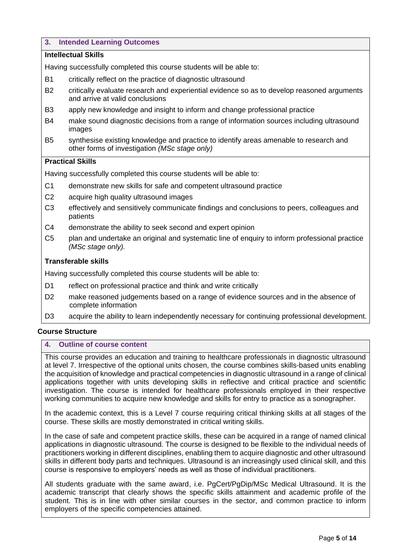#### **3. Intended Learning Outcomes**

#### **Intellectual Skills**

Having successfully completed this course students will be able to:

- B1 critically reflect on the practice of diagnostic ultrasound
- B2 critically evaluate research and experiential evidence so as to develop reasoned arguments and arrive at valid conclusions
- B3 apply new knowledge and insight to inform and change professional practice
- B4 make sound diagnostic decisions from a range of information sources including ultrasound images
- B5 synthesise existing knowledge and practice to identify areas amenable to research and other forms of investigation *(MSc stage only)*

#### **Practical Skills**

Having successfully completed this course students will be able to:

- C1 demonstrate new skills for safe and competent ultrasound practice
- C2 acquire high quality ultrasound images
- C3 effectively and sensitively communicate findings and conclusions to peers, colleagues and patients
- C4 demonstrate the ability to seek second and expert opinion
- C5 plan and undertake an original and systematic line of enquiry to inform professional practice *(MSc stage only).*

#### **Transferable skills**

Having successfully completed this course students will be able to:

- D1 reflect on professional practice and think and write critically
- D2 make reasoned judgements based on a range of evidence sources and in the absence of complete information
- D3 acquire the ability to learn independently necessary for continuing professional development.

#### **Course Structure**

#### <span id="page-4-0"></span>**4. Outline of course content**

This course provides an education and training to healthcare professionals in diagnostic ultrasound at level 7. Irrespective of the optional units chosen, the course combines skills-based units enabling the acquisition of knowledge and practical competencies in diagnostic ultrasound in a range of clinical applications together with units developing skills in reflective and critical practice and scientific investigation. The course is intended for healthcare professionals employed in their respective working communities to acquire new knowledge and skills for entry to practice as a sonographer.

In the academic context, this is a Level 7 course requiring critical thinking skills at all stages of the course. These skills are mostly demonstrated in critical writing skills.

In the case of safe and competent practice skills, these can be acquired in a range of named clinical applications in diagnostic ultrasound. The course is designed to be flexible to the individual needs of practitioners working in different disciplines, enabling them to acquire diagnostic and other ultrasound skills in different body parts and techniques. Ultrasound is an increasingly used clinical skill, and this course is responsive to employers' needs as well as those of individual practitioners.

All students graduate with the same award, i.e. PgCert/PgDip/MSc Medical Ultrasound. It is the academic transcript that clearly shows the specific skills attainment and academic profile of the student. This is in line with other similar courses in the sector, and common practice to inform employers of the specific competencies attained.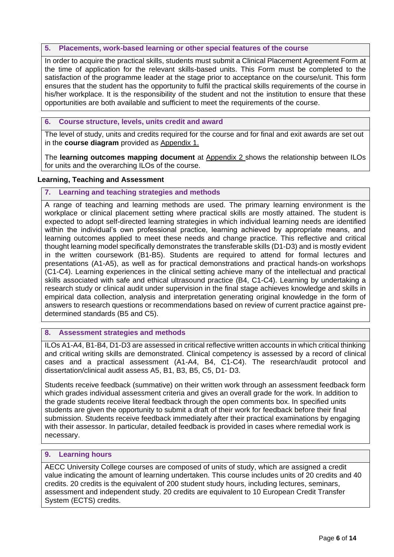#### <span id="page-5-0"></span>**5. Placements, work-based learning or other special features of the course**

In order to acquire the practical skills, students must submit a Clinical Placement Agreement Form at the time of application for the relevant skills-based units. This Form must be completed to the satisfaction of the programme leader at the stage prior to acceptance on the course/unit. This form ensures that the student has the opportunity to fulfil the practical skills requirements of the course in his/her workplace. It is the responsibility of the student and not the institution to ensure that these opportunities are both available and sufficient to meet the requirements of the course.

#### <span id="page-5-1"></span>**6. Course structure, levels, units credit and award**

The level of study, units and credits required for the course and for final and exit awards are set out in the **course diagram** provided as Appendix 1.

The **learning outcomes mapping document** at Appendix 2 shows the relationship between ILOs for units and the overarching ILOs of the course.

#### **Learning, Teaching and Assessment**

#### <span id="page-5-2"></span>**7. Learning and teaching strategies and methods**

A range of teaching and learning methods are used. The primary learning environment is the workplace or clinical placement setting where practical skills are mostly attained. The student is expected to adopt self-directed learning strategies in which individual learning needs are identified within the individual's own professional practice, learning achieved by appropriate means, and learning outcomes applied to meet these needs and change practice. This reflective and critical thought learning model specifically demonstrates the transferable skills (D1-D3) and is mostly evident in the written coursework (B1-B5). Students are required to attend for formal lectures and presentations (A1-A5), as well as for practical demonstrations and practical hands-on workshops (C1-C4). Learning experiences in the clinical setting achieve many of the intellectual and practical skills associated with safe and ethical ultrasound practice (B4, C1-C4). Learning by undertaking a research study or clinical audit under supervision in the final stage achieves knowledge and skills in empirical data collection, analysis and interpretation generating original knowledge in the form of answers to research questions or recommendations based on review of current practice against predetermined standards (B5 and C5).

#### <span id="page-5-3"></span>**8. Assessment strategies and methods**

ILOs A1-A4, B1-B4, D1-D3 are assessed in critical reflective written accounts in which critical thinking and critical writing skills are demonstrated. Clinical competency is assessed by a record of clinical cases and a practical assessment (A1-A4, B4, C1-C4). The research/audit protocol and dissertation/clinical audit assess A5, B1, B3, B5, C5, D1- D3.

Students receive feedback (summative) on their written work through an assessment feedback form which grades individual assessment criteria and gives an overall grade for the work. In addition to the grade students receive literal feedback through the open comments box. In specified units students are given the opportunity to submit a draft of their work for feedback before their final submission. Students receive feedback immediately after their practical examinations by engaging with their assessor. In particular, detailed feedback is provided in cases where remedial work is necessary.

#### <span id="page-5-4"></span>**9. Learning hours**

AECC University College courses are composed of units of study, which are assigned a credit value indicating the amount of learning undertaken. This course includes units of 20 credits and 40 credits. 20 credits is the equivalent of 200 student study hours, including lectures, seminars, assessment and independent study. 20 credits are equivalent to 10 European Credit Transfer System (ECTS) credits.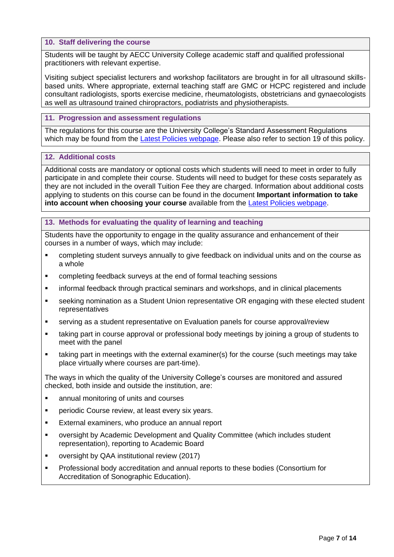#### <span id="page-6-0"></span>**10. Staff delivering the course**

Students will be taught by AECC University College academic staff and qualified professional practitioners with relevant expertise.

Visiting subject specialist lecturers and workshop facilitators are brought in for all ultrasound skillsbased units. Where appropriate, external teaching staff are GMC or HCPC registered and include consultant radiologists, sports exercise medicine, rheumatologists, obstetricians and gynaecologists as well as ultrasound trained chiropractors, podiatrists and physiotherapists.

#### <span id="page-6-1"></span>**11. Progression and assessment regulations**

The regulations for this course are the University College's Standard Assessment Regulations which may be found from the [Latest Policies webpage.](https://www.aecc.ac.uk/about/how-we-work/latest-policies/) Please also refer to section 19 of this policy.

#### <span id="page-6-2"></span>**12. Additional costs**

Additional costs are mandatory or optional costs which students will need to meet in order to fully participate in and complete their course. Students will need to budget for these costs separately as they are not included in the overall Tuition Fee they are charged. Information about additional costs applying to students on this course can be found in the document **Important information to take into account when choosing your course** available from the [Latest Policies webpage.](https://www.aecc.ac.uk/about/how-we-work/latest-policies/)

#### <span id="page-6-3"></span>**13. Methods for evaluating the quality of learning and teaching**

Students have the opportunity to engage in the quality assurance and enhancement of their courses in a number of ways, which may include:

- completing student surveys annually to give feedback on individual units and on the course as a whole
- completing feedback surveys at the end of formal teaching sessions
- informal feedback through practical seminars and workshops, and in clinical placements
- seeking nomination as a Student Union representative OR engaging with these elected student representatives
- serving as a student representative on Evaluation panels for course approval/review
- taking part in course approval or professional body meetings by joining a group of students to meet with the panel
- taking part in meetings with the external examiner(s) for the course (such meetings may take place virtually where courses are part-time).

The ways in which the quality of the University College's courses are monitored and assured checked, both inside and outside the institution, are:

- **Example 1** annual monitoring of units and courses
- periodic Course review, at least every six years.
- **External examiners, who produce an annual report**
- oversight by Academic Development and Quality Committee (which includes student representation), reporting to Academic Board
- oversight by QAA institutional review (2017)
- Professional body accreditation and annual reports to these bodies (Consortium for Accreditation of Sonographic Education).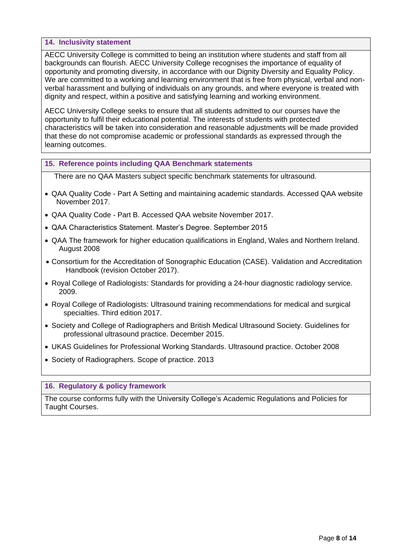#### <span id="page-7-0"></span>**14. Inclusivity statement**

AECC University College is committed to being an institution where students and staff from all backgrounds can flourish. AECC University College recognises the importance of equality of opportunity and promoting diversity, in accordance with our Dignity Diversity and Equality Policy. We are committed to a working and learning environment that is free from physical, verbal and nonverbal harassment and bullying of individuals on any grounds, and where everyone is treated with dignity and respect, within a positive and satisfying learning and working environment.

AECC University College seeks to ensure that all students admitted to our courses have the opportunity to fulfil their educational potential. The interests of students with protected characteristics will be taken into consideration and reasonable adjustments will be made provided that these do not compromise academic or professional standards as expressed through the learning outcomes.

#### <span id="page-7-1"></span>**15. Reference points including QAA Benchmark statements**

There are no QAA Masters subject specific benchmark statements for ultrasound.

- QAA Quality Code Part A Setting and maintaining academic standards. Accessed QAA website November 2017.
- QAA Quality Code Part B. Accessed QAA website November 2017.
- QAA Characteristics Statement. Master's Degree. September 2015
- QAA The framework for higher education qualifications in England, Wales and Northern Ireland. August 2008
- Consortium for the Accreditation of Sonographic Education (CASE). Validation and Accreditation Handbook (revision October 2017).
- Royal College of Radiologists: Standards for providing a 24-hour diagnostic radiology service. 2009.
- Royal College of Radiologists: Ultrasound training recommendations for medical and surgical specialties. Third edition 2017.
- Society and College of Radiographers and British Medical Ultrasound Society. Guidelines for professional ultrasound practice. December 2015.
- UKAS Guidelines for Professional Working Standards. Ultrasound practice. October 2008
- Society of Radiographers. Scope of practice. 2013

#### <span id="page-7-2"></span>**16. Regulatory & policy framework**

The course conforms fully with the University College's Academic Regulations and Policies for Taught Courses.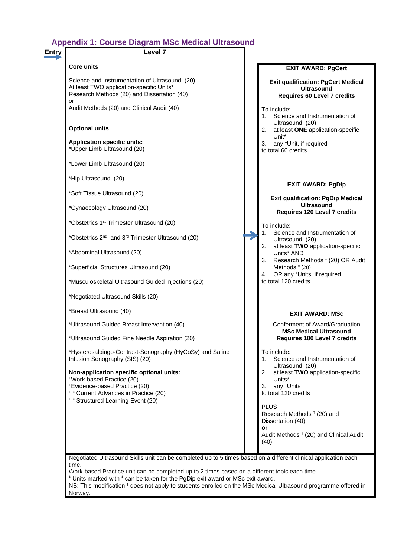## **Appendix 1: Course Diagram MSc Medical Ultrasound**

<span id="page-8-0"></span>

| Entry | Level 7                                                                                                                                                                                                     |                                                  |                                                                                                                                                                                                                                                            |
|-------|-------------------------------------------------------------------------------------------------------------------------------------------------------------------------------------------------------------|--------------------------------------------------|------------------------------------------------------------------------------------------------------------------------------------------------------------------------------------------------------------------------------------------------------------|
|       | <b>Core units</b>                                                                                                                                                                                           |                                                  | <b>EXIT AWARD: PgCert</b>                                                                                                                                                                                                                                  |
|       | Science and Instrumentation of Ultrasound (20)<br>At least TWO application-specific Units*<br>Research Methods (20) and Dissertation (40)<br>or                                                             |                                                  | <b>Exit qualification: PgCert Medical</b><br>Ultrasound<br><b>Requires 60 Level 7 credits</b>                                                                                                                                                              |
|       | Audit Methods (20) and Clinical Audit (40)                                                                                                                                                                  | To include:<br>1. Science and Instrumentation of |                                                                                                                                                                                                                                                            |
|       | <b>Optional units</b>                                                                                                                                                                                       |                                                  | Ultrasound (20)<br>2. at least ONE application-specific<br>Unit*                                                                                                                                                                                           |
|       | <b>Application specific units:</b><br>*Upper Limb Ultrasound (20)                                                                                                                                           |                                                  | 3. any <sup>+</sup> Unit, if required<br>to total 60 credits                                                                                                                                                                                               |
|       | *Lower Limb Ultrasound (20)                                                                                                                                                                                 |                                                  |                                                                                                                                                                                                                                                            |
|       | *Hip Ultrasound (20)                                                                                                                                                                                        |                                                  | <b>EXIT AWARD: PgDip</b>                                                                                                                                                                                                                                   |
|       | *Soft Tissue Ultrasound (20)                                                                                                                                                                                |                                                  | <b>Exit qualification: PgDip Medical</b>                                                                                                                                                                                                                   |
|       | *Gynaecology Ultrasound (20)                                                                                                                                                                                |                                                  | Ultrasound<br>Requires 120 Level 7 credits                                                                                                                                                                                                                 |
|       | *Obstetrics 1 <sup>st</sup> Trimester Ultrasound (20)                                                                                                                                                       |                                                  | To include:                                                                                                                                                                                                                                                |
|       | *Obstetrics 2 <sup>nd</sup> and 3 <sup>rd</sup> Trimester Ultrasound (20)                                                                                                                                   |                                                  | Science and Instrumentation of<br>1.<br>Ultrasound (20)                                                                                                                                                                                                    |
|       | *Abdominal Ultrasound (20)                                                                                                                                                                                  |                                                  | 2. at least TWO application-specific<br>Units* AND<br>3. Research Methods # (20) OR Audit                                                                                                                                                                  |
|       | *Superficial Structures Ultrasound (20)                                                                                                                                                                     |                                                  | Methods $*$ (20)<br>OR any <sup>+</sup> Units, if required<br>4.                                                                                                                                                                                           |
|       | *Musculoskeletal Ultrasound Guided Injections (20)                                                                                                                                                          |                                                  | to total 120 credits                                                                                                                                                                                                                                       |
|       | *Negotiated Ultrasound Skills (20)                                                                                                                                                                          |                                                  |                                                                                                                                                                                                                                                            |
|       | *Breast Ultrasound (40)                                                                                                                                                                                     |                                                  | <b>EXIT AWARD: MSc</b>                                                                                                                                                                                                                                     |
|       | *Ultrasound Guided Breast Intervention (40)                                                                                                                                                                 |                                                  | Conferment of Award/Graduation<br><b>MSc Medical Ultrasound</b>                                                                                                                                                                                            |
|       | *Ultrasound Guided Fine Needle Aspiration (20)                                                                                                                                                              |                                                  | Requires 180 Level 7 credits                                                                                                                                                                                                                               |
|       | *Hysterosalpingo-Contrast-Sonography (HyCoSy) and Saline<br>Infusion Sonography (SIS) (20)                                                                                                                  |                                                  | To include:<br>Science and Instrumentation of<br>1.                                                                                                                                                                                                        |
|       | Non-application specific optional units:<br>*Work-based Practice (20)<br>*Evidence-based Practice (20)<br><sup>+ ‡</sup> Current Advances in Practice (20)<br><sup>+ ‡</sup> Structured Learning Event (20) |                                                  | Ultrasound (20)<br>at least TWO application-specific<br>2.<br>Units*<br>any +Units<br>3.<br>to total 120 credits<br><b>PLUS</b><br>Research Methods <sup>#</sup> (20) and<br>Dissertation (40)<br>or<br>Audit Methods <sup>#</sup> (20) and Clinical Audit |
|       |                                                                                                                                                                                                             |                                                  | (40)                                                                                                                                                                                                                                                       |

NB: This modification  $\dagger$  does not apply to students enrolled on the MSc Medical Ultrasound programme offered in Norway.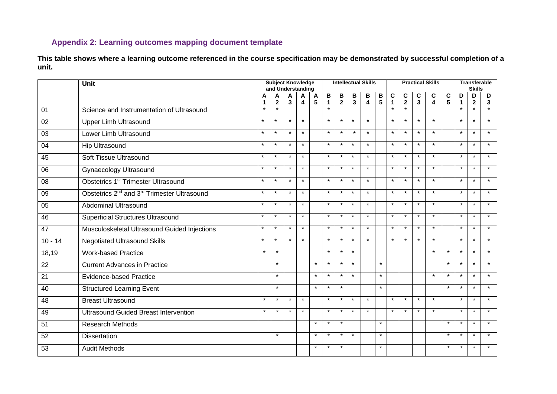### **Appendix 2: Learning outcomes mapping document template**

**This table shows where a learning outcome referenced in the course specification may be demonstrated by successful completion of a unit.**

<span id="page-9-0"></span>

|                 | <b>Unit</b>                                                         |         |                  | <b>Subject Knowledge</b><br>and Understanding |                              |         |                   |                     |                   | <b>Intellectual Skills</b> |                              | <b>Practical Skills</b> |                     |                   |         |                      |                  | <b>Transferable</b><br><b>Skills</b> |         |  |
|-----------------|---------------------------------------------------------------------|---------|------------------|-----------------------------------------------|------------------------------|---------|-------------------|---------------------|-------------------|----------------------------|------------------------------|-------------------------|---------------------|-------------------|---------|----------------------|------------------|--------------------------------------|---------|--|
|                 |                                                                     | А<br>1  | Α<br>$\mathbf 2$ | A<br>$\mathbf{3}$                             | A<br>$\overline{\mathbf{4}}$ | A<br>5  | В<br>$\mathbf{1}$ | В<br>$\overline{2}$ | B<br>$\mathbf{3}$ | B<br>4                     | B<br>$\overline{\mathbf{5}}$ | C<br>$\mathbf{1}$       | C<br>$\overline{2}$ | C<br>$\mathbf{3}$ | С<br>4  | C<br>$5\phantom{.0}$ | D<br>$\mathbf 1$ | D<br>$\mathbf{2}$                    | D<br>3  |  |
| 01              | Science and Instrumentation of Ultrasound                           | $\star$ | $\star$          |                                               |                              |         | $\star$           |                     |                   |                            |                              | $\star$                 | $\star$             |                   |         |                      | $\star$          | $\star$                              | $\star$ |  |
| 02              | <b>Upper Limb Ultrasound</b>                                        | $\star$ | $\star$          | $\star$                                       | $\star$                      |         | $\star$           | $\star$             | $\star$           | $\star$                    |                              | $\star$                 | $\star$             | $\star$           | $\star$ |                      | $\star$          | $\star$                              | $\star$ |  |
| 03              | Lower Limb Ultrasound                                               | $\star$ | $\star$          | $\star$                                       | $\star$                      |         | $\star$           | $\star$             | $\star$           | $\star$                    |                              | $\star$                 | $\star$             | $\star$           | $\star$ |                      | $\star$          | $\star$                              | $\star$ |  |
| 04              | Hip Ultrasound                                                      | $\star$ | $\star$          | $\star$                                       | $\star$                      |         | $\star$           | $\star$             | $\star$           | $\star$                    |                              | $\star$                 | $\star$             | $\star$           | $\star$ |                      | $\star$          | $\star$                              | $\star$ |  |
| 45              | Soft Tissue Ultrasound                                              | $\star$ | $\star$          | $\star$                                       | $\star$                      |         | $\star$           | $\star$             | $\star$           | $\star$                    |                              | $\star$                 | $\star$             | $\star$           | $\star$ |                      | $\star$          | $\star$                              | $\star$ |  |
| 06              | <b>Gynaecology Ultrasound</b>                                       | $\star$ | $\star$          | $\star$                                       | $\star$                      |         | $\star$           | $\star$             | $\star$           | $\star$                    |                              | $\star$                 | $\star$             | $\star$           | $\star$ |                      | $\star$          | $\star$                              | $\star$ |  |
| 08              | Obstetrics 1 <sup>st</sup> Trimester Ultrasound                     | $\star$ | $\star$          | $\star$                                       | $\star$                      |         | $\star$           | $\star$             | $\star$           | $\star$                    |                              | $\star$                 | $\star$             | $\star$           | $\star$ |                      | $\star$          | $\star$                              | $\star$ |  |
| 09              | Obstetrics 2 <sup>nd</sup> and 3 <sup>rd</sup> Trimester Ultrasound | $\star$ | $\star$          | $\star$                                       | $\star$                      |         | $\star$           | $\star$             | $\star$           | $\star$                    |                              | $\star$                 | $\star$             | $\star$           | $\star$ |                      | $\star$          | $\star$                              | $\star$ |  |
| 05              | Abdominal Ultrasound                                                | $\star$ | $\star$          | $\star$                                       | $\star$                      |         | $\star$           | $\star$             | $\star$           | $\star$                    |                              | $\star$                 | $\star$             | $\star$           | $\star$ |                      | $\star$          | $\star$                              | $\star$ |  |
| 46              | <b>Superficial Structures Ultrasound</b>                            | $\star$ | $\star$          | $\star$                                       | $\star$                      |         | $\star$           | $\star$             | $\star$           | $\star$                    |                              | $\star$                 | $\star$             | $\star$           | $\star$ |                      | $\star$          | $\star$                              | $\star$ |  |
| 47              | Musculoskeletal Ultrasound Guided Injections                        | $\star$ | $\star$          | $\star$                                       | $\star$                      |         | $\star$           | $\star$             | $\star$           | $\star$                    |                              | $\star$                 | $\star$             | $\star$           | $\star$ |                      | $\star$          | $\star$                              | $\star$ |  |
| $10 - 14$       | <b>Negotiated Ultrasound Skills</b>                                 | $\star$ | $\star$          | $\star$                                       | $\star$                      |         | $\star$           | $\star$             | $\star$           | $\star$                    |                              | $\star$                 | $\star$             | $\star$           | $\star$ |                      | $\star$          | $\star$                              | $\star$ |  |
| 18,19           | <b>Work-based Practice</b>                                          | $\star$ | $\star$          |                                               |                              |         | $\star$           | $\star$             | $\star$           |                            |                              |                         |                     |                   | $\star$ | $\star$              | $\star$          | $\star$                              | $\star$ |  |
| 22              | <b>Current Advances in Practice</b>                                 |         | $\star$          |                                               |                              | $\star$ | $\star$           | $\star$             | $\star$           |                            | $\star$                      |                         |                     |                   |         | $\star$              | $\star$          | $\star$                              | $\star$ |  |
| $\overline{21}$ | <b>Evidence-based Practice</b>                                      |         | $\star$          |                                               |                              | $\star$ | $\star$           | $\star$             | $\star$           |                            | $\star$                      |                         |                     |                   | $\star$ | $\star$              | $\star$          | $\star$                              | $\star$ |  |
| 40              | <b>Structured Learning Event</b>                                    |         | $\star$          |                                               |                              | $\star$ | $\star$           | $\star$             |                   |                            | $\star$                      |                         |                     |                   |         | $\star$              | $\star$          | $\star$                              | $\star$ |  |
| 48              | <b>Breast Ultrasound</b>                                            | $\star$ | $\star$          | $\star$                                       | $\star$                      |         | $\star$           | $\star$             | $\star$           | $\star$                    |                              | $\star$                 | $\star$             | $\star$           | $\star$ |                      | $\star$          | $\star$                              | $\star$ |  |
| 49              | <b>Ultrasound Guided Breast Intervention</b>                        | $\star$ | $\star$          | $\star$                                       | $\star$                      |         | $\star$           | $\star$             | $\star$           | $\star$                    |                              | $\star$                 | $\star$             | $\star$           | $\star$ |                      | $\star$          | $\star$                              | $\star$ |  |
| $\overline{51}$ | <b>Research Methods</b>                                             |         |                  |                                               |                              | $\star$ | $\star$           | $\star$             |                   |                            | $\star$                      |                         |                     |                   |         | $\star$              | $\star$          | $\star$                              | $\star$ |  |
| 52              | <b>Dissertation</b>                                                 |         | $\star$          |                                               |                              | $\star$ | $\star$           | $\star$             | $\star$           |                            | $\star$                      |                         |                     |                   |         | $\star$              | $\star$          | $\star$                              | $\star$ |  |
| 53              | <b>Audit Methods</b>                                                |         |                  |                                               |                              | $\star$ | $\star$           | $\star$             |                   |                            | $\star$                      |                         |                     |                   |         | $\star$              | $\star$          | $\star$                              | $\star$ |  |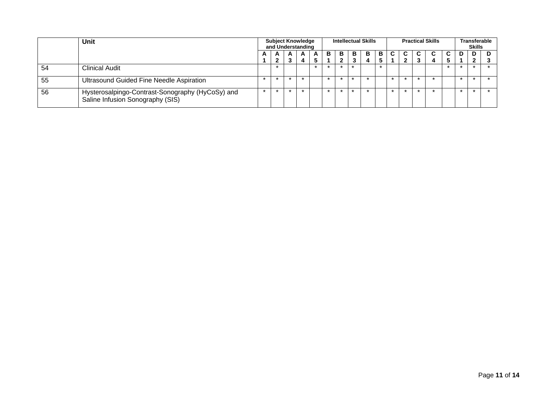|    | Unit                                                                                 | <b>Subject Knowledge</b><br>and Understanding |        |        |        |   |    |        |   | <b>Intellectual Skills</b> |   |  | <b>Practical Skills</b> | <b>Transferable</b><br><b>Skills</b> |  |  |  |
|----|--------------------------------------------------------------------------------------|-----------------------------------------------|--------|--------|--------|---|----|--------|---|----------------------------|---|--|-------------------------|--------------------------------------|--|--|--|
|    |                                                                                      |                                               | A<br>ີ | A<br>- | A<br>4 | A | в. | в<br>າ | в | В.                         | в |  |                         |                                      |  |  |  |
| 54 | Clinical Audit                                                                       |                                               |        |        |        |   |    |        |   |                            |   |  |                         |                                      |  |  |  |
| 55 | Ultrasound Guided Fine Needle Aspiration                                             |                                               |        |        |        |   |    |        |   |                            |   |  |                         |                                      |  |  |  |
| 56 | Hysterosalpingo-Contrast-Sonography (HyCoSy) and<br>Saline Infusion Sonography (SIS) |                                               |        |        |        |   |    |        |   |                            |   |  |                         |                                      |  |  |  |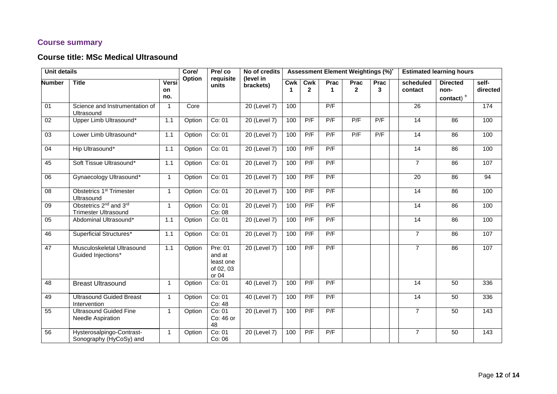## **Course summary**

## **Course title: MSc Medical Ultrasound**

| <b>Unit details</b> |                                                                               | Core/<br>Option    | Pre/co<br>requisite | No of credits<br>(level in                           |                           |     |                     | <b>Assessment Element Weightings (%)</b> |                        | <b>Estimated learning hours</b> |                      |                                                  |                   |  |
|---------------------|-------------------------------------------------------------------------------|--------------------|---------------------|------------------------------------------------------|---------------------------|-----|---------------------|------------------------------------------|------------------------|---------------------------------|----------------------|--------------------------------------------------|-------------------|--|
| <b>Number</b>       | <b>Title</b>                                                                  | Versi<br>on<br>no. |                     | units                                                | brackets)                 | Cwk | Cwk<br>$\mathbf{2}$ | Prac<br>1                                | Prac<br>$\overline{2}$ | Prac<br>3                       | scheduled<br>contact | <b>Directed</b><br>non-<br>contact) <sup>+</sup> | self-<br>directed |  |
| 01                  | Science and Instrumentation of<br>Ultrasound                                  | $\overline{1}$     | Core                |                                                      | 20 (Level 7)              | 100 |                     | P/F                                      |                        |                                 | 26                   |                                                  | 174               |  |
| $02\,$              | Upper Limb Ultrasound*                                                        | 1.1                | Option              | Co: 01                                               | 20 (Level 7)              | 100 | P/F                 | P/F                                      | P/F                    | P/F                             | 14                   | 86                                               | 100               |  |
| 03                  | Lower Limb Ultrasound*                                                        | $1.1$              | Option              | Co: 01                                               | 20 (Level 7)              | 100 | P/F                 | P/F                                      | P/F                    | P/F                             | 14                   | 86                                               | 100               |  |
| 04                  | Hip Ultrasound*                                                               | $1.1$              | Option              | Co: 01                                               | $20$ (Level 7)            | 100 | P/F                 | P/F                                      |                        |                                 | $\overline{14}$      | 86                                               | 100               |  |
| 45                  | Soft Tissue Ultrasound*                                                       | 1.1                | Option              | Co: 01                                               | 20 (Level 7)              | 100 | P/F                 | P/F                                      |                        |                                 | $\overline{7}$       | 86                                               | 107               |  |
| 06                  | Gynaecology Ultrasound*                                                       | $\overline{1}$     | Option              | Co: 01                                               | 20 (Level 7)              | 100 | P/F                 | P/F                                      |                        |                                 | 20                   | 86                                               | 94                |  |
| 08                  | <b>Obstetrics 1st Trimester</b><br>Ultrasound                                 | $\mathbf{1}$       | Option              | Co: 01                                               | 20 (Level 7)              | 100 | P/F                 | P/F                                      |                        |                                 | 14                   | 86                                               | 100               |  |
| 09                  | Obstetrics 2 <sup>nd</sup> and 3 <sup>rd</sup><br><b>Trimester Ultrasound</b> | $\mathbf{1}$       | Option              | Co: 01<br>Co: 08                                     | 20 (Level 7)              | 100 | P/F                 | P/F                                      |                        |                                 | $\overline{14}$      | 86                                               | 100               |  |
| 05                  | Abdominal Ultrasound*                                                         | 1.1                | Option              | Co: 01                                               | 20 (Level 7)              | 100 | P/F                 | P/F                                      |                        |                                 | 14                   | 86                                               | 100               |  |
| 46                  | <b>Superficial Structures*</b>                                                | 1.1                | Option              | Co: 01                                               | 20 (Level 7)              | 100 | P/F                 | P/F                                      |                        |                                 | $\overline{7}$       | 86                                               | 107               |  |
| 47                  | Musculoskeletal Ultrasound<br>Guided Injections*                              | $1.1$              | Option              | Pre: 01<br>and at<br>least one<br>of 02, 03<br>or 04 | 20 (Level 7)              | 100 | P/F                 | P/F                                      |                        |                                 | $\overline{7}$       | 86                                               | 107               |  |
| 48                  | <b>Breast Ultrasound</b>                                                      | $\overline{1}$     | Option              | Co: 01                                               | 40 (Level 7)              | 100 | P/F                 | P/F                                      |                        |                                 | 14                   | 50                                               | 336               |  |
| 49                  | <b>Ultrasound Guided Breast</b><br>Intervention                               | $\overline{1}$     | Option              | Co: 01<br>Co: 48                                     | $\overline{40}$ (Level 7) | 100 | P/F                 | P/F                                      |                        |                                 | 14                   | 50                                               | 336               |  |
| 55                  | <b>Ultrasound Guided Fine</b><br><b>Needle Aspiration</b>                     | $\overline{1}$     | Option              | Co: 01<br>Co: 46 or<br>48                            | 20 (Level 7)              | 100 | P/F                 | P/F                                      |                        |                                 | $\overline{7}$       | 50                                               | 143               |  |
| 56                  | Hysterosalpingo-Contrast-<br>Sonography (HyCoSy) and                          | $\overline{1}$     | Option              | Co: 01<br>Co: 06                                     | 20 (Level 7)              | 100 | P/F                 | P/F                                      |                        |                                 | $\overline{7}$       | 50                                               | 143               |  |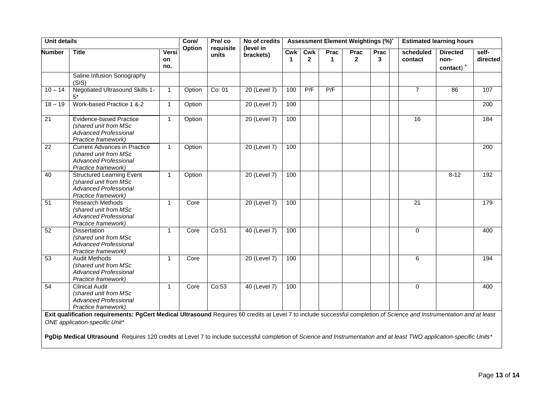| <b>Unit details</b> |                                                                                                                                                                                                                 |                    | Core/  | Pre/co             | No of credits<br>(level in |                 |                     |                      | <b>Assessment Element Weightings (%)</b> |           | <b>Estimated learning hours</b> |                                                  |                   |  |  |
|---------------------|-----------------------------------------------------------------------------------------------------------------------------------------------------------------------------------------------------------------|--------------------|--------|--------------------|----------------------------|-----------------|---------------------|----------------------|------------------------------------------|-----------|---------------------------------|--------------------------------------------------|-------------------|--|--|
| <b>Number</b>       | <b>Title</b>                                                                                                                                                                                                    | Versi<br>on<br>no. | Option | requisite<br>units | brackets)                  | <b>Cwk</b><br>1 | Cwk<br>$\mathbf{2}$ | Prac<br>$\mathbf{1}$ | Prac<br>$\overline{2}$                   | Prac<br>3 | scheduled<br>contact            | <b>Directed</b><br>non-<br>contact) <sup>+</sup> | self-<br>directed |  |  |
|                     | Saline Infusion Sonography<br>(SIS)                                                                                                                                                                             |                    |        |                    |                            |                 |                     |                      |                                          |           |                                 |                                                  |                   |  |  |
| $10 - 14$           | Negotiated Ultrasound Skills 1-                                                                                                                                                                                 | $\mathbf{1}$       | Option | Co: 01             | 20 (Level 7)               | 100             | P/F                 | P/F                  |                                          |           | $\overline{7}$                  | 86                                               | 107               |  |  |
| $18 - 19$           | Work-based Practice 1 & 2                                                                                                                                                                                       | $\mathbf{1}$       | Option |                    | 20 (Level 7)               | 100             |                     |                      |                                          |           |                                 |                                                  | $\overline{200}$  |  |  |
| 21                  | <b>Evidence-based Practice</b><br>(shared unit from MSc<br><b>Advanced Professional</b><br>Practice framework)                                                                                                  | $\mathbf{1}$       | Option |                    | 20 (Level 7)               | 100             |                     |                      |                                          |           | 16                              |                                                  | 184               |  |  |
| 22                  | <b>Current Advances in Practice</b><br>(shared unit from MSc<br><b>Advanced Professional</b><br>Practice framework)                                                                                             | $\mathbf{1}$       | Option |                    | 20 (Level 7)               | 100             |                     |                      |                                          |           |                                 |                                                  | 200               |  |  |
| 40                  | <b>Structured Learning Event</b><br>(shared unit from MSc<br><b>Advanced Professional</b><br>Practice framework)                                                                                                | $\mathbf{1}$       | Option |                    | 20 (Level 7)               | 100             |                     |                      |                                          |           |                                 | $8 - 12$                                         | 192               |  |  |
| 51                  | <b>Research Methods</b><br>(shared unit from MSc<br><b>Advanced Professional</b><br>Practice framework)                                                                                                         | $\mathbf{1}$       | Core   |                    | $20$ (Level 7)             | 100             |                     |                      |                                          |           | $\overline{21}$                 |                                                  | 179               |  |  |
| 52                  | <b>Dissertation</b><br>(shared unit from MSc<br><b>Advanced Professional</b><br>Practice framework)                                                                                                             | $\mathbf{1}$       | Core   | Co:51              | 40 (Level 7)               | 100             |                     |                      |                                          |           | $\Omega$                        |                                                  | 400               |  |  |
| 53                  | <b>Audit Methods</b><br>(shared unit from MSc<br><b>Advanced Professional</b><br>Practice framework)                                                                                                            | $\mathbf{1}$       | Core   |                    | 20 (Level 7)               | 100             |                     |                      |                                          |           | 6                               |                                                  | 194               |  |  |
| 54                  | <b>Clinical Audit</b><br>(shared unit from MSc<br><b>Advanced Professional</b><br>Practice framework)                                                                                                           | $\mathbf{1}$       | Core   | Co:53              | 40 (Level 7)               | 100             |                     |                      |                                          |           | $\Omega$                        |                                                  | 400               |  |  |
|                     | Exit qualification requirements: PgCert Medical Ultrasound Requires 60 credits at Level 7 to include successful completion of Science and Instrumentation and at least<br><b>ONE</b> application-specific Unit* |                    |        |                    |                            |                 |                     |                      |                                          |           |                                 |                                                  |                   |  |  |

**PgDip Medical Ultrasound** Requires 120 credits at Level 7 to include successful completion of *Science and Instrumentation and at least TWO application-specific Units\**